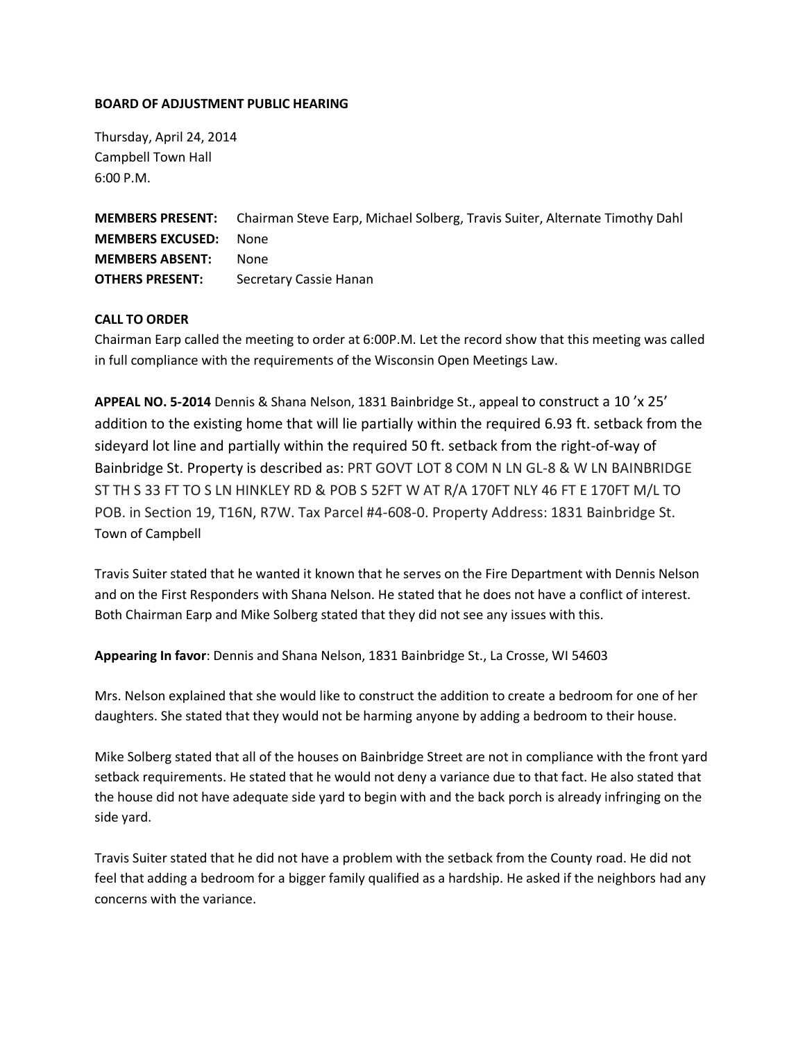## **BOARD OF ADJUSTMENT PUBLIC HEARING**

Thursday, April 24, 2014 Campbell Town Hall 6:00 P.M.

**MEMBERS PRESENT:** Chairman Steve Earp, Michael Solberg, Travis Suiter, Alternate Timothy Dahl **MEMBERS EXCUSED:** None **MEMBERS ABSENT:** None **OTHERS PRESENT:** Secretary Cassie Hanan

## **CALL TO ORDER**

Chairman Earp called the meeting to order at 6:00P.M. Let the record show that this meeting was called in full compliance with the requirements of the Wisconsin Open Meetings Law.

**APPEAL NO. 5-2014** Dennis & Shana Nelson, 1831 Bainbridge St., appeal to construct a 10 'x 25' addition to the existing home that will lie partially within the required 6.93 ft. setback from the sideyard lot line and partially within the required 50 ft. setback from the right-of-way of Bainbridge St. Property is described as: PRT GOVT LOT 8 COM N LN GL-8 & W LN BAINBRIDGE ST TH S 33 FT TO S LN HINKLEY RD & POB S 52FT W AT R/A 170FT NLY 46 FT E 170FT M/L TO POB. in Section 19, T16N, R7W. Tax Parcel #4-608-0. Property Address: 1831 Bainbridge St. Town of Campbell

Travis Suiter stated that he wanted it known that he serves on the Fire Department with Dennis Nelson and on the First Responders with Shana Nelson. He stated that he does not have a conflict of interest. Both Chairman Earp and Mike Solberg stated that they did not see any issues with this.

**Appearing In favor**: Dennis and Shana Nelson, 1831 Bainbridge St., La Crosse, WI 54603

Mrs. Nelson explained that she would like to construct the addition to create a bedroom for one of her daughters. She stated that they would not be harming anyone by adding a bedroom to their house.

Mike Solberg stated that all of the houses on Bainbridge Street are not in compliance with the front yard setback requirements. He stated that he would not deny a variance due to that fact. He also stated that the house did not have adequate side yard to begin with and the back porch is already infringing on the side yard.

Travis Suiter stated that he did not have a problem with the setback from the County road. He did not feel that adding a bedroom for a bigger family qualified as a hardship. He asked if the neighbors had any concerns with the variance.